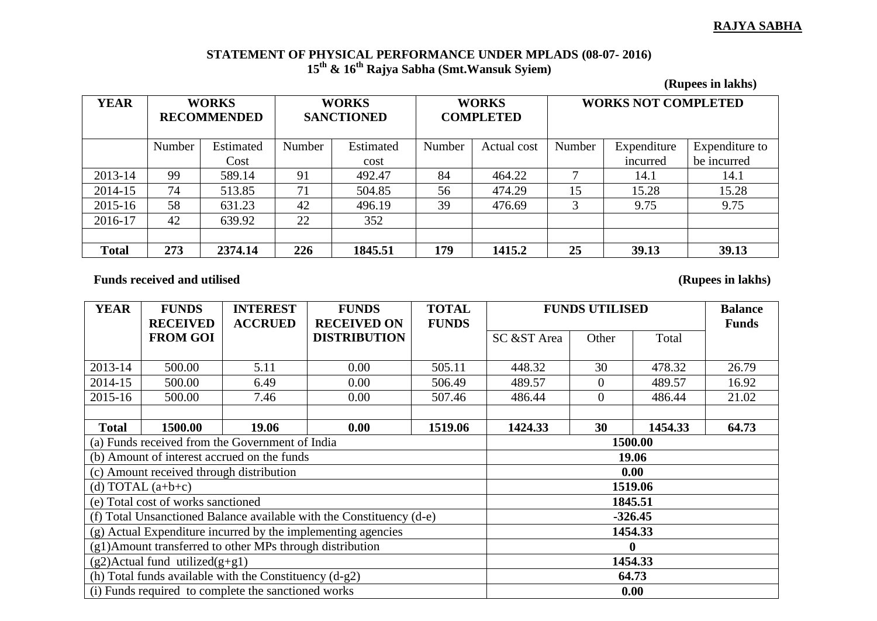## **RAJYA SABHA**

## **STATEMENT OF PHYSICAL PERFORMANCE UNDER MPLADS (08-07- 2016) 15th & 16th Rajya Sabha (Smt.Wansuk Syiem)**

**(Rupees in lakhs)**

| <b>YEAR</b>  | <b>WORKS</b><br><b>RECOMMENDED</b> |           | <b>WORKS</b><br><b>SANCTIONED</b> |           | <b>WORKS</b><br><b>COMPLETED</b> |             | <b>WORKS NOT COMPLETED</b> |             |                |
|--------------|------------------------------------|-----------|-----------------------------------|-----------|----------------------------------|-------------|----------------------------|-------------|----------------|
|              | Number                             | Estimated | Number                            | Estimated | Number                           | Actual cost | Number                     | Expenditure | Expenditure to |
|              |                                    | Cost      |                                   | cost      |                                  |             |                            | incurred    | be incurred    |
| 2013-14      | 99                                 | 589.14    | 91                                | 492.47    | 84                               | 464.22      |                            | 14.1        | 14.1           |
| 2014-15      | 74                                 | 513.85    | 71                                | 504.85    | 56                               | 474.29      | 15                         | 15.28       | 15.28          |
| 2015-16      | 58                                 | 631.23    | 42                                | 496.19    | 39                               | 476.69      | 3                          | 9.75        | 9.75           |
| 2016-17      | 42                                 | 639.92    | 22                                | 352       |                                  |             |                            |             |                |
|              |                                    |           |                                   |           |                                  |             |                            |             |                |
| <b>Total</b> | 273                                | 2374.14   | 226                               | 1845.51   | 179                              | 1415.2      | 25                         | 39.13       | 39.13          |

Funds received and utilised (Rupees in lakhs)

| <b>YEAR</b>                                                          | <b>FUNDS</b>    | <b>INTEREST</b>                                     | <b>FUNDS</b>        | <b>TOTAL</b> | <b>FUNDS UTILISED</b> |                |         | <b>Balance</b> |
|----------------------------------------------------------------------|-----------------|-----------------------------------------------------|---------------------|--------------|-----------------------|----------------|---------|----------------|
|                                                                      | <b>RECEIVED</b> | <b>ACCRUED</b>                                      | <b>RECEIVED ON</b>  | <b>FUNDS</b> |                       |                |         | <b>Funds</b>   |
|                                                                      | <b>FROM GOI</b> |                                                     | <b>DISTRIBUTION</b> |              | SC &ST Area           | Other          | Total   |                |
|                                                                      |                 |                                                     |                     |              |                       |                |         |                |
| 2013-14                                                              | 500.00          | 5.11                                                | 0.00                | 505.11       | 448.32                | 30             | 478.32  | 26.79          |
| 2014-15                                                              | 500.00          | 6.49                                                | 0.00                | 506.49       | 489.57                | $\overline{0}$ | 489.57  | 16.92          |
| 2015-16                                                              | 500.00          | 7.46                                                | 0.00                | 507.46       | 486.44                | $\overline{0}$ | 486.44  | 21.02          |
|                                                                      |                 |                                                     |                     |              |                       |                |         |                |
| <b>Total</b>                                                         | 1500.00         | 19.06                                               | 0.00                | 1519.06      | 1424.33               | 30             | 1454.33 | 64.73          |
|                                                                      |                 | (a) Funds received from the Government of India     |                     |              | 1500.00               |                |         |                |
|                                                                      |                 | (b) Amount of interest accrued on the funds         | 19.06               |              |                       |                |         |                |
| (c) Amount received through distribution                             |                 |                                                     |                     |              | 0.00                  |                |         |                |
| (d) TOTAL $(a+b+c)$                                                  |                 |                                                     |                     |              | 1519.06               |                |         |                |
| (e) Total cost of works sanctioned                                   |                 |                                                     |                     |              | 1845.51               |                |         |                |
| (f) Total Unsanctioned Balance available with the Constituency (d-e) |                 |                                                     |                     |              | $-326.45$             |                |         |                |
| (g) Actual Expenditure incurred by the implementing agencies         |                 |                                                     |                     |              | 1454.33               |                |         |                |
| (g1)Amount transferred to other MPs through distribution             |                 |                                                     |                     |              |                       |                |         |                |
| $(g2)$ Actual fund utilized $(g+g1)$                                 |                 |                                                     |                     |              | 1454.33               |                |         |                |
| (h) Total funds available with the Constituency $(d-g2)$             |                 |                                                     |                     |              | 64.73                 |                |         |                |
|                                                                      |                 | (i) Funds required to complete the sanctioned works | 0.00                |              |                       |                |         |                |